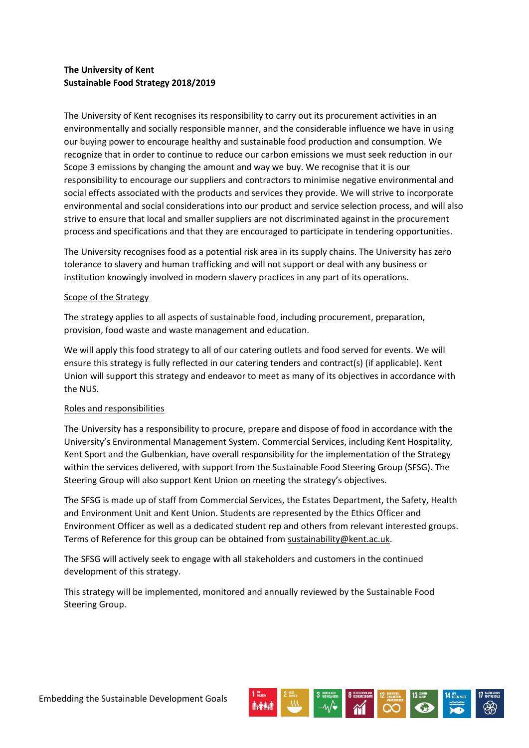# **The University of Kent Sustainable Food Strategy 2018/2019**

The University of Kent recognises its responsibility to carry out its procurement activities in an environmentally and socially responsible manner, and the considerable influence we have in using our buying power to encourage healthy and sustainable food production and consumption. We recognize that in order to continue to reduce our carbon emissions we must seek reduction in our Scope 3 emissions by changing the amount and way we buy. We recognise that it is our responsibility to encourage our suppliers and contractors to minimise negative environmental and social effects associated with the products and services they provide. We will strive to incorporate environmental and social considerations into our product and service selection process, and will also strive to ensure that local and smaller suppliers are not discriminated against in the procurement process and specifications and that they are encouraged to participate in tendering opportunities.

The University recognises food as a potential risk area in its supply chains. The University has zero tolerance to slavery and human trafficking and will not support or deal with any business or institution knowingly involved in modern slavery practices in any part of its operations.

# Scope of the Strategy

The strategy applies to all aspects of sustainable food, including procurement, preparation, provision, food waste and waste management and education.

We will apply this food strategy to all of our catering outlets and food served for events. We will ensure this strategy is fully reflected in our catering tenders and contract(s) (if applicable). Kent Union will support this strategy and endeavor to meet as many of its objectives in accordance with the NUS.

# Roles and responsibilities

The University has a responsibility to procure, prepare and dispose of food in accordance with the University's Environmental Management System. Commercial Services, including Kent Hospitality, Kent Sport and the Gulbenkian, have overall responsibility for the implementation of the Strategy within the services delivered, with support from the Sustainable Food Steering Group (SFSG). The Steering Group will also support Kent Union on meeting the strategy's objectives.

The SFSG is made up of staff from Commercial Services, the Estates Department, the Safety, Health and Environment Unit and Kent Union. Students are represented by the Ethics Officer and Environment Officer as well as a dedicated student rep and others from relevant interested groups. Terms of Reference for this group can be obtained from [sustainability@kent.ac.uk.](mailto:sustainability@kent.ac.uk)

The SFSG will actively seek to engage with all stakeholders and customers in the continued development of this strategy.

This strategy will be implemented, monitored and annually reviewed by the Sustainable Food Steering Group.

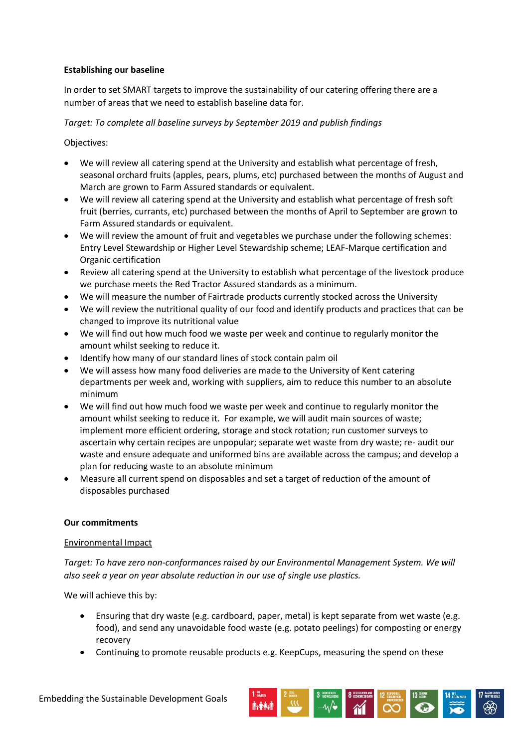# **Establishing our baseline**

In order to set SMART targets to improve the sustainability of our catering offering there are a number of areas that we need to establish baseline data for.

# *Target: To complete all baseline surveys by September 2019 and publish findings*

Objectives:

- We will review all catering spend at the University and establish what percentage of fresh, seasonal orchard fruits (apples, pears, plums, etc) purchased between the months of August and March are grown to Farm Assured standards or equivalent.
- We will review all catering spend at the University and establish what percentage of fresh soft fruit (berries, currants, etc) purchased between the months of April to September are grown to Farm Assured standards or equivalent.
- We will review the amount of fruit and vegetables we purchase under the following schemes: Entry Level Stewardship or Higher Level Stewardship scheme; LEAF-Marque certification and Organic certification
- Review all catering spend at the University to establish what percentage of the livestock produce we purchase meets the Red Tractor Assured standards as a minimum.
- We will measure the number of Fairtrade products currently stocked across the University
- We will review the nutritional quality of our food and identify products and practices that can be changed to improve its nutritional value
- We will find out how much food we waste per week and continue to regularly monitor the amount whilst seeking to reduce it.
- Identify how many of our standard lines of stock contain palm oil
- We will assess how many food deliveries are made to the University of Kent catering departments per week and, working with suppliers, aim to reduce this number to an absolute minimum
- We will find out how much food we waste per week and continue to regularly monitor the amount whilst seeking to reduce it. For example, we will audit main sources of waste; implement more efficient ordering, storage and stock rotation; run customer surveys to ascertain why certain recipes are unpopular; separate wet waste from dry waste; re- audit our waste and ensure adequate and uniformed bins are available across the campus; and develop a plan for reducing waste to an absolute minimum
- Measure all current spend on disposables and set a target of reduction of the amount of disposables purchased

# **Our commitments**

#### Environmental Impact

*Target: To have zero non-conformances raised by our Environmental Management System. We will also seek a year on year absolute reduction in our use of single use plastics.*

- Ensuring that dry waste (e.g. cardboard, paper, metal) is kept separate from wet waste (e.g. food), and send any unavoidable food waste (e.g. potato peelings) for composting or energy recovery
- Continuing to promote reusable products e.g. KeepCups, measuring the spend on these

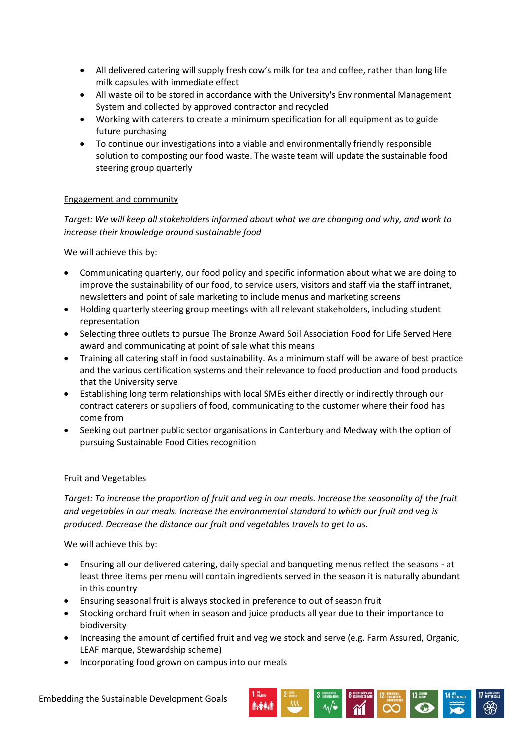- All delivered catering will supply fresh cow's milk for tea and coffee, rather than long life milk capsules with immediate effect
- All waste oil to be stored in accordance with the University's Environmental Management System and collected by approved contractor and recycled
- Working with caterers to create a minimum specification for all equipment as to guide future purchasing
- To continue our investigations into a viable and environmentally friendly responsible solution to composting our food waste. The waste team will update the sustainable food steering group quarterly

# Engagement and community

*Target: We will keep all stakeholders informed about what we are changing and why, and work to increase their knowledge around sustainable food*

We will achieve this by:

- Communicating quarterly, our food policy and specific information about what we are doing to improve the sustainability of our food, to service users, visitors and staff via the staff intranet, newsletters and point of sale marketing to include menus and marketing screens
- Holding quarterly steering group meetings with all relevant stakeholders, including student representation
- Selecting three outlets to pursue The Bronze Award Soil Association Food for Life Served Here award and communicating at point of sale what this means
- Training all catering staff in food sustainability. As a minimum staff will be aware of best practice and the various certification systems and their relevance to food production and food products that the University serve
- Establishing long term relationships with local SMEs either directly or indirectly through our contract caterers or suppliers of food, communicating to the customer where their food has come from
- Seeking out partner public sector organisations in Canterbury and Medway with the option of pursuing Sustainable Food Cities recognition

#### Fruit and Vegetables

*Target: To increase the proportion of fruit and veg in our meals. Increase the seasonality of the fruit and vegetables in our meals. Increase the environmental standard to which our fruit and veg is produced. Decrease the distance our fruit and vegetables travels to get to us.*

- Ensuring all our delivered catering, daily special and banqueting menus reflect the seasons at least three items per menu will contain ingredients served in the season it is naturally abundant in this country
- Ensuring seasonal fruit is always stocked in preference to out of season fruit
- Stocking orchard fruit when in season and juice products all year due to their importance to biodiversity
- Increasing the amount of certified fruit and veg we stock and serve (e.g. Farm Assured, Organic, LEAF marque, Stewardship scheme)
- Incorporating food grown on campus into our meals

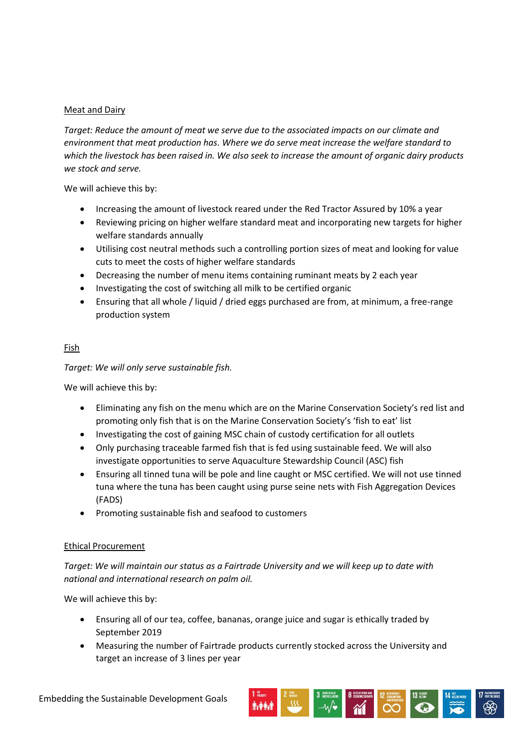# Meat and Dairy

*Target: Reduce the amount of meat we serve due to the associated impacts on our climate and environment that meat production has. Where we do serve meat increase the welfare standard to which the livestock has been raised in. We also seek to increase the amount of organic dairy products we stock and serve.*

We will achieve this by:

- Increasing the amount of livestock reared under the Red Tractor Assured by 10% a year
- Reviewing pricing on higher welfare standard meat and incorporating new targets for higher welfare standards annually
- Utilising cost neutral methods such a controlling portion sizes of meat and looking for value cuts to meet the costs of higher welfare standards
- Decreasing the number of menu items containing ruminant meats by 2 each year
- Investigating the cost of switching all milk to be certified organic
- Ensuring that all whole / liquid / dried eggs purchased are from, at minimum, a free-range production system

# Fish

*Target: We will only serve sustainable fish.*

We will achieve this by:

- Eliminating any fish on the menu which are on the Marine Conservation Society's red list and promoting only fish that is on the Marine Conservation Society's 'fish to eat' list
- Investigating the cost of gaining MSC chain of custody certification for all outlets
- Only purchasing traceable farmed fish that is fed using sustainable feed. We will also investigate opportunities to serve Aquaculture Stewardship Council (ASC) fish
- Ensuring all tinned tuna will be pole and line caught or MSC certified. We will not use tinned tuna where the tuna has been caught using purse seine nets with Fish Aggregation Devices (FADS)
- Promoting sustainable fish and seafood to customers

#### Ethical Procurement

*Target: We will maintain our status as a Fairtrade University and we will keep up to date with national and international research on palm oil.*

- Ensuring all of our tea, coffee, bananas, orange juice and sugar is ethically traded by September 2019
- Measuring the number of Fairtrade products currently stocked across the University and target an increase of 3 lines per year

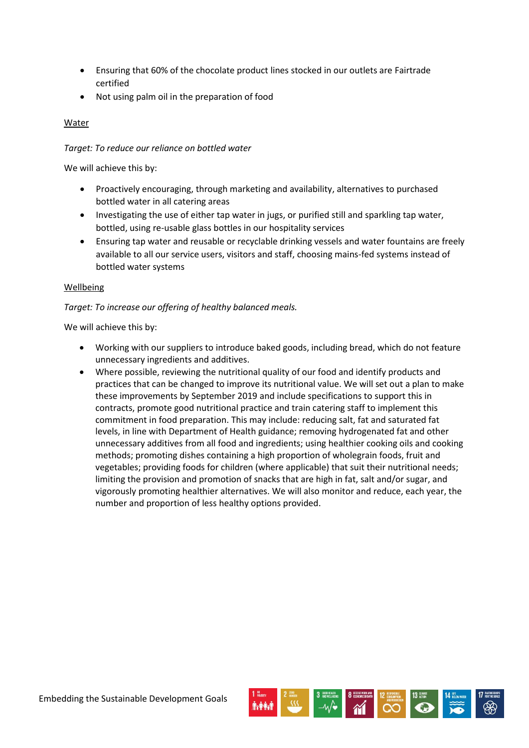- Ensuring that 60% of the chocolate product lines stocked in our outlets are Fairtrade certified
- Not using palm oil in the preparation of food

# Water

# *Target: To reduce our reliance on bottled water*

We will achieve this by:

- Proactively encouraging, through marketing and availability, alternatives to purchased bottled water in all catering areas
- Investigating the use of either tap water in jugs, or purified still and sparkling tap water, bottled, using re-usable glass bottles in our hospitality services
- Ensuring tap water and reusable or recyclable drinking vessels and water fountains are freely available to all our service users, visitors and staff, choosing mains-fed systems instead of bottled water systems

# Wellbeing

# *Target: To increase our offering of healthy balanced meals.*

- Working with our suppliers to introduce baked goods, including bread, which do not feature unnecessary ingredients and additives.
- Where possible, reviewing the nutritional quality of our food and identify products and practices that can be changed to improve its nutritional value. We will set out a plan to make these improvements by September 2019 and include specifications to support this in contracts, promote good nutritional practice and train catering staff to implement this commitment in food preparation. This may include: reducing salt, fat and saturated fat levels, in line with Department of Health guidance; removing hydrogenated fat and other unnecessary additives from all food and ingredients; using healthier cooking oils and cooking methods; promoting dishes containing a high proportion of wholegrain foods, fruit and vegetables; providing foods for children (where applicable) that suit their nutritional needs; limiting the provision and promotion of snacks that are high in fat, salt and/or sugar, and vigorously promoting healthier alternatives. We will also monitor and reduce, each year, the number and proportion of less healthy options provided.